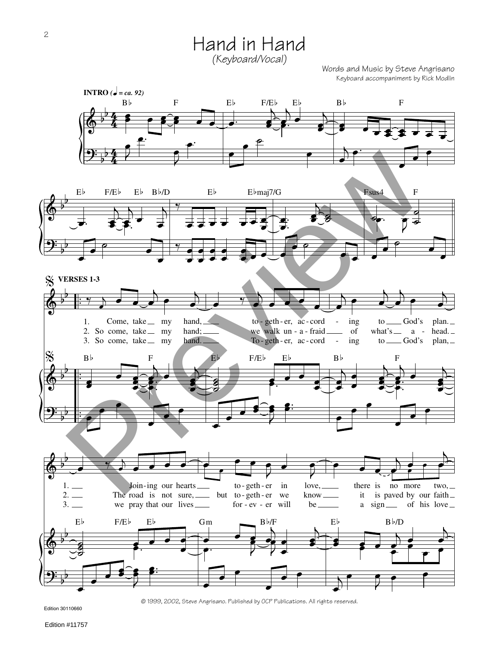Hand in Hand *(Keyboard/Vocal)*

Words and Music by Steve Angrisano Keyboard accompaniment by Rick Modlin



Edition 30110660

© 1999, 2002, Steve Angrisano. Published by OCP Publications. All rights reserved.

Edition #11757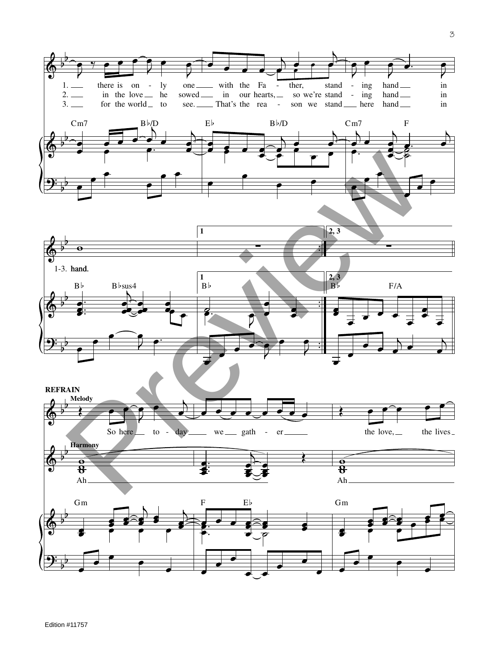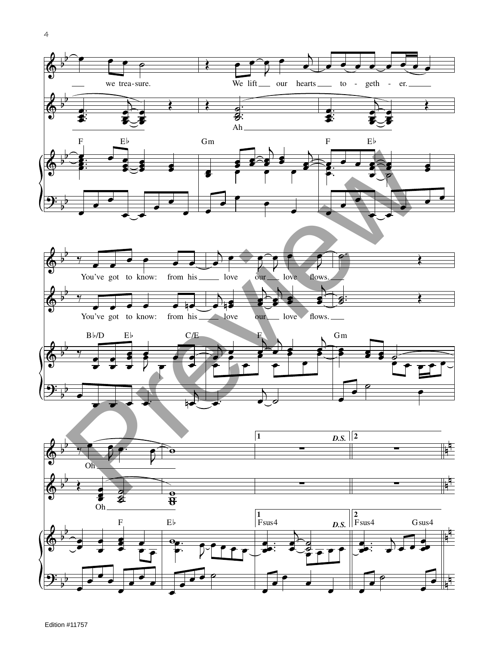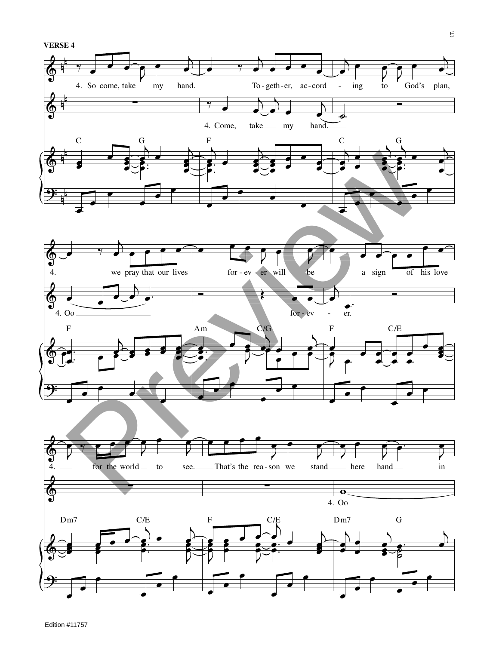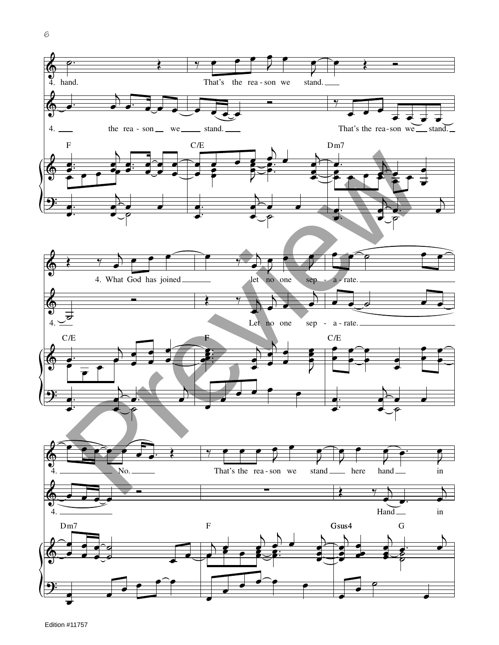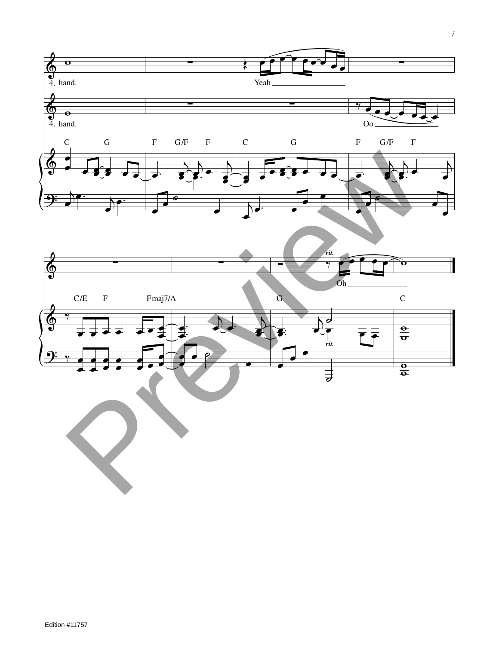



Edition #11757

7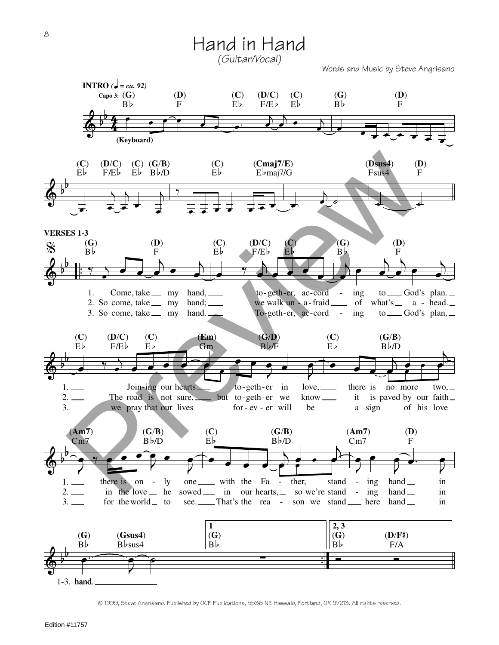Hand in Hand *(Guitar/Vocal)*

Words and Music by Steve Angrisano



<sup>©</sup> 1999, Steve Angrisano. Published by OCP Publications, 5536 NE Hassalo, Portland, OR 97213. All rights reserved.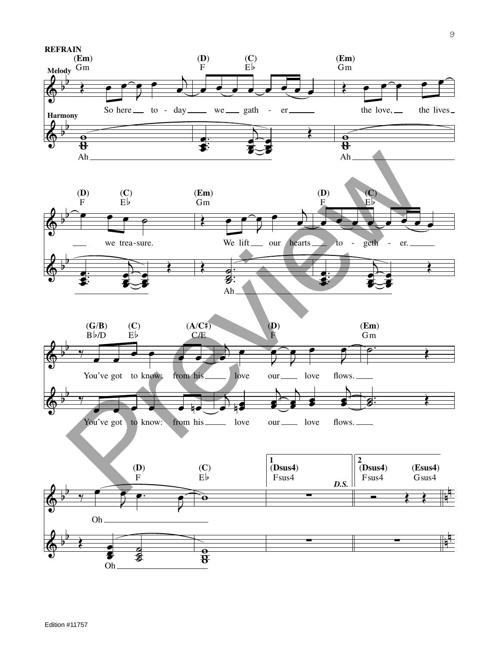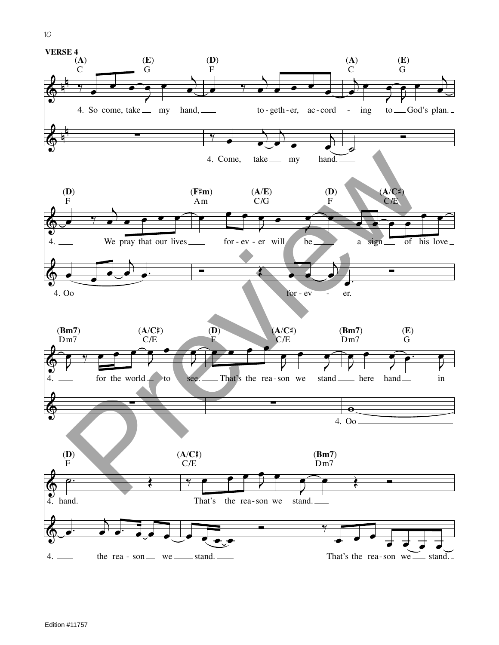



## Edition #11757